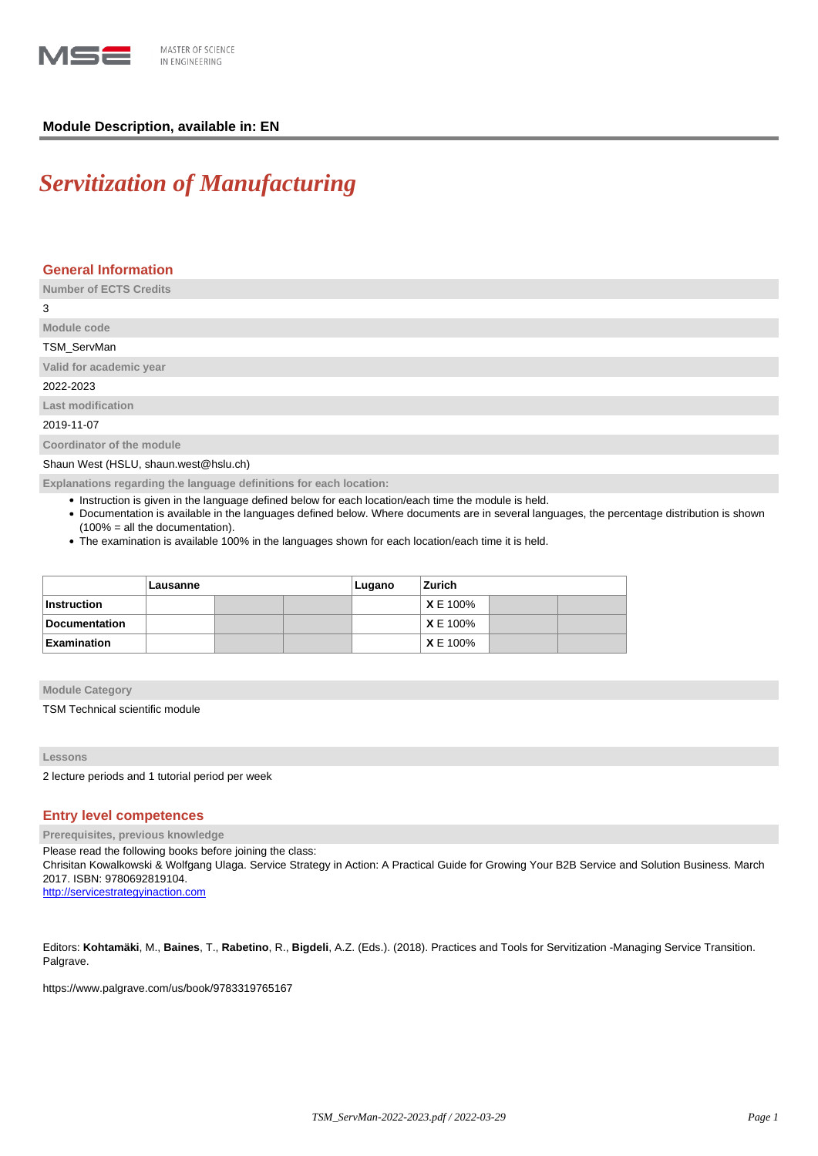

# **Module Description, available in: EN**

# *Servitization of Manufacturing*

# **General Information**

**Number of ECTS Credits**

3

# **Module code** TSM\_ServMan **Valid for academic year** 2022-2023 **Last modification** 2019-11-07

**Coordinator of the module**

Shaun West (HSLU, shaun.west@hslu.ch)

**Explanations regarding the language definitions for each location:**

- Instruction is given in the language defined below for each location/each time the module is held.
- Documentation is available in the languages defined below. Where documents are in several languages, the percentage distribution is shown (100% = all the documentation).
- The examination is available 100% in the languages shown for each location/each time it is held.

|                      | Lausanne |  |  | Lugano | Zurich          |  |  |
|----------------------|----------|--|--|--------|-----------------|--|--|
| Instruction          |          |  |  |        | <b>XE 100%</b>  |  |  |
| <b>Documentation</b> |          |  |  |        | <b>XE 100%</b>  |  |  |
| Examination          |          |  |  |        | <b>X</b> E 100% |  |  |

**Module Category**

TSM Technical scientific module

**Lessons**

2 lecture periods and 1 tutorial period per week

# **Entry level competences**

**Prerequisites, previous knowledge**

Please read the following books before joining the class:

Chrisitan Kowalkowski & Wolfgang Ulaga. Service Strategy in Action: A Practical Guide for Growing Your B2B Service and Solution Business. March 2017. ISBN: 9780692819104.

<http://servicestrategyinaction.com>

Editors: **Kohtamäki**, M., **Baines**, T., **Rabetino**, R., **Bigdeli**, A.Z. (Eds.). (2018). Practices and Tools for Servitization -Managing Service Transition. Palgrave.

https://www.palgrave.com/us/book/9783319765167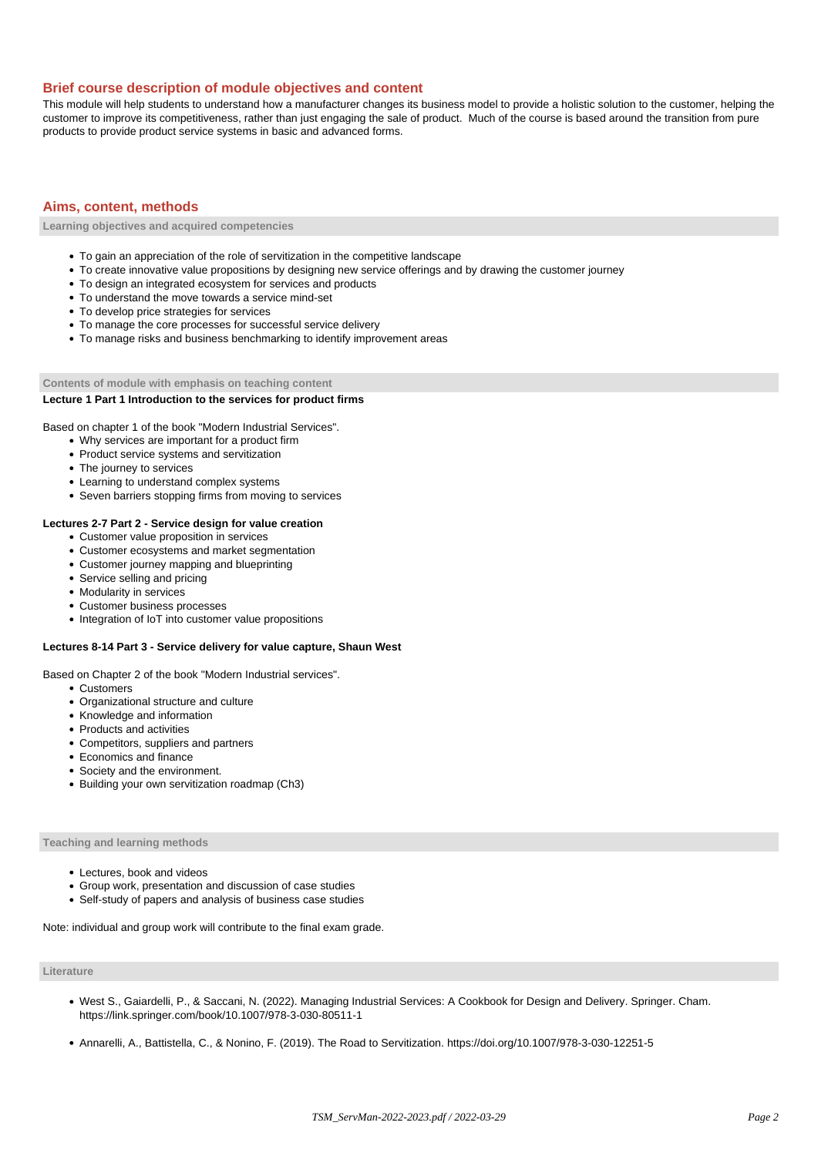## **Brief course description of module objectives and content**

This module will help students to understand how a manufacturer changes its business model to provide a holistic solution to the customer, helping the customer to improve its competitiveness, rather than just engaging the sale of product. Much of the course is based around the transition from pure products to provide product service systems in basic and advanced forms.

# **Aims, content, methods**

**Learning objectives and acquired competencies**

- To gain an appreciation of the role of servitization in the competitive landscape
- To create innovative value propositions by designing new service offerings and by drawing the customer journey
- To design an integrated ecosystem for services and products
- To understand the move towards a service mind-set
- To develop price strategies for services
- To manage the core processes for successful service delivery
- To manage risks and business benchmarking to identify improvement areas

**Contents of module with emphasis on teaching content**

## **Lecture 1 Part 1 Introduction to the services for product firms**

Based on chapter 1 of the book "Modern Industrial Services".

- Why services are important for a product firm
- Product service systems and servitization
- The journey to services
- Learning to understand complex systems
- Seven barriers stopping firms from moving to services

#### **Lectures 2-7 Part 2 - Service design for value creation**

- Customer value proposition in services
- Customer ecosystems and market segmentation
- Customer journey mapping and blueprinting
- Service selling and pricing
- Modularity in services
- Customer business processes
- Integration of IoT into customer value propositions

#### **Lectures 8-14 Part 3 - Service delivery for value capture, Shaun West**

Based on Chapter 2 of the book "Modern Industrial services".

- Customers
- Organizational structure and culture
- Knowledge and information
- Products and activities
- Competitors, suppliers and partners
- Economics and finance
- Society and the environment.
- Building your own servitization roadmap (Ch3)

# **Teaching and learning methods**

- Lectures, book and videos
- Group work, presentation and discussion of case studies
- Self-study of papers and analysis of business case studies

Note: individual and group work will contribute to the final exam grade.

#### **Literature**

- West S., Gaiardelli, P., & Saccani, N. (2022). Managing Industrial Services: A Cookbook for Design and Delivery. Springer. Cham. https://link.springer.com/book/10.1007/978-3-030-80511-1
- Annarelli, A., Battistella, C., & Nonino, F. (2019). The Road to Servitization. https://doi.org/10.1007/978-3-030-12251-5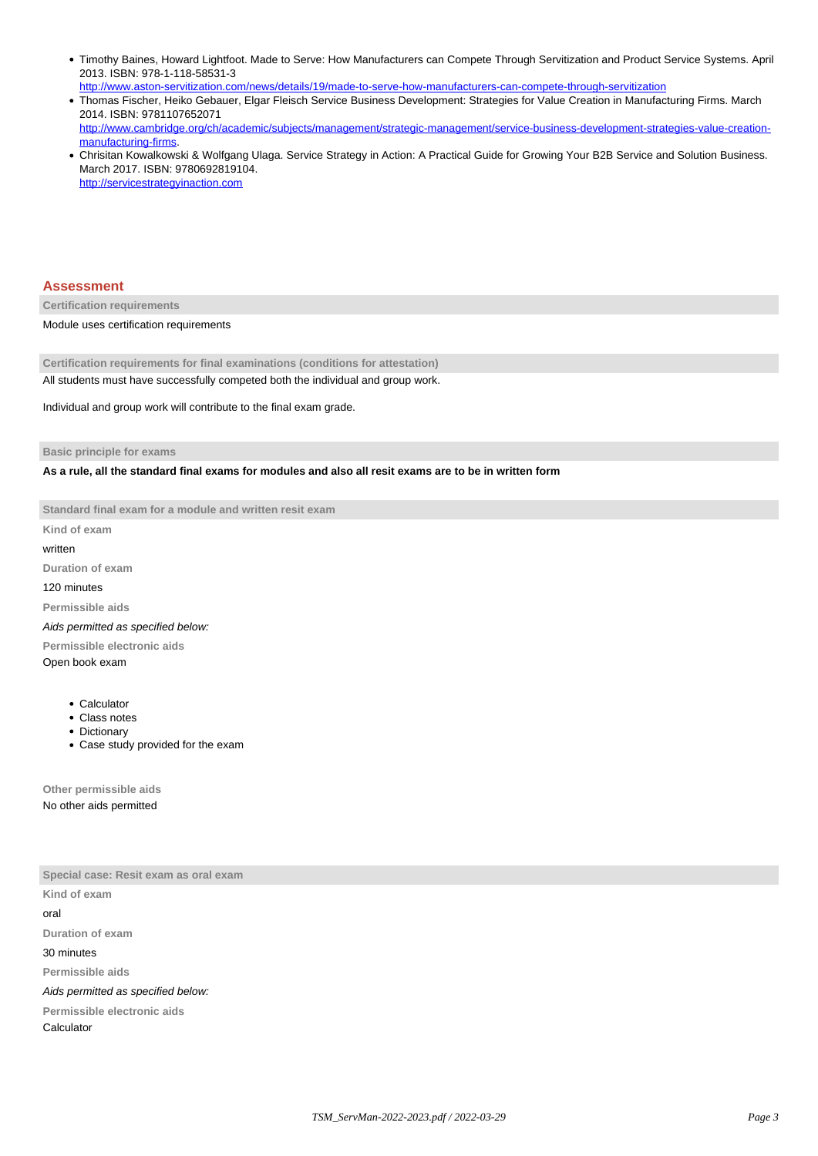- Timothy Baines, Howard Lightfoot. Made to Serve: How Manufacturers can Compete Through Servitization and Product Service Systems. April 2013. ISBN: 978-1-118-58531-3
- <http://www.aston-servitization.com/news/details/19/made-to-serve-how-manufacturers-can-compete-through-servitization> Thomas Fischer, Heiko Gebauer, Elgar Fleisch Service Business Development: Strategies for Value Creation in Manufacturing Firms. March 2014. ISBN: 9781107652071 [http://www.cambridge.org/ch/academic/subjects/management/strategic-management/service-business-development-strategies-value-creation](http://www.cambridge.org/ch/academic/subjects/management/strategic-management/service-business-development-strategies-value-creation-manufacturing-firms)[manufacturing-firms.](http://www.cambridge.org/ch/academic/subjects/management/strategic-management/service-business-development-strategies-value-creation-manufacturing-firms)
- Chrisitan Kowalkowski & Wolfgang Ulaga. Service Strategy in Action: A Practical Guide for Growing Your B2B Service and Solution Business. March 2017. ISBN: 9780692819104. <http://servicestrategyinaction.com>

#### **Assessment**

**Certification requirements**

Module uses certification requirements

**Certification requirements for final examinations (conditions for attestation)** All students must have successfully competed both the individual and group work.

Individual and group work will contribute to the final exam grade.

**Basic principle for exams**

**As a rule, all the standard final exams for modules and also all resit exams are to be in written form**

**Standard final exam for a module and written resit exam**

**Kind of exam**

# written

**Duration of exam**

120 minutes

**Permissible aids**

Aids permitted as specified below:

**Permissible electronic aids**

Open book exam

- Calculator
- Class notes
- Dictionary
- Case study provided for the exam

**Other permissible aids** No other aids permitted

**Special case: Resit exam as oral exam Kind of exam** oral **Duration of exam** 30 minutes **Permissible aids** Aids permitted as specified below: **Permissible electronic aids** Calculator